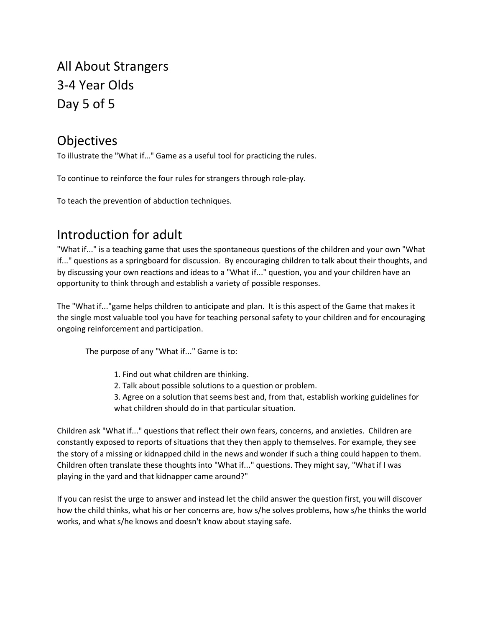# All About Strangers 3-4 Year Olds Day 5 of 5

## **Objectives**

To illustrate the "What if…" Game as a useful tool for practicing the rules.

To continue to reinforce the four rules for strangers through role-play.

To teach the prevention of abduction techniques.

## Introduction for adult

"What if..." is a teaching game that uses the spontaneous questions of the children and your own "What if..." questions as a springboard for discussion. By encouraging children to talk about their thoughts, and by discussing your own reactions and ideas to a "What if..." question, you and your children have an opportunity to think through and establish a variety of possible responses.

The "What if..."game helps children to anticipate and plan. It is this aspect of the Game that makes it the single most valuable tool you have for teaching personal safety to your children and for encouraging ongoing reinforcement and participation.

The purpose of any "What if..." Game is to:

- 1. Find out what children are thinking.
- 2. Talk about possible solutions to a question or problem.

3. Agree on a solution that seems best and, from that, establish working guidelines for what children should do in that particular situation.

Children ask "What if..." questions that reflect their own fears, concerns, and anxieties. Children are constantly exposed to reports of situations that they then apply to themselves. For example, they see the story of a missing or kidnapped child in the news and wonder if such a thing could happen to them. Children often translate these thoughts into "What if..." questions. They might say, "What if I was playing in the yard and that kidnapper came around?"

If you can resist the urge to answer and instead let the child answer the question first, you will discover how the child thinks, what his or her concerns are, how s/he solves problems, how s/he thinks the world works, and what s/he knows and doesn't know about staying safe.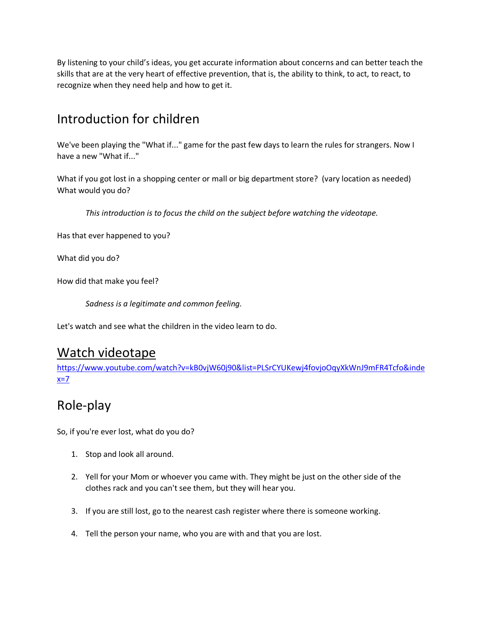By listening to your child's ideas, you get accurate information about concerns and can better teach the skills that are at the very heart of effective prevention, that is, the ability to think, to act, to react, to recognize when they need help and how to get it.

## Introduction for children

We've been playing the "What if..." game for the past few days to learn the rules for strangers. Now I have a new "What if..."

What if you got lost in a shopping center or mall or big department store? (vary location as needed) What would you do?

*This introduction is to focus the child on the subject before watching the videotape.*

Has that ever happened to you?

What did you do?

How did that make you feel?

*Sadness is a legitimate and common feeling.*

Let's watch and see what the children in the video learn to do.

#### Watch videotape

[https://www.youtube.com/watch?v=kB0vjW60j90&list=PLSrCYUKewj4fovjoOqyXkWnJ9mFR4Tcfo&inde](https://www.youtube.com/watch?v=kB0vjW60j90&list=PLSrCYUKewj4fovjoOqyXkWnJ9mFR4Tcfo&index=7)  $x=7$ 

## Role-play

So, if you're ever lost, what do you do?

- 1. Stop and look all around.
- 2. Yell for your Mom or whoever you came with. They might be just on the other side of the clothes rack and you can't see them, but they will hear you.
- 3. If you are still lost, go to the nearest cash register where there is someone working.
- 4. Tell the person your name, who you are with and that you are lost.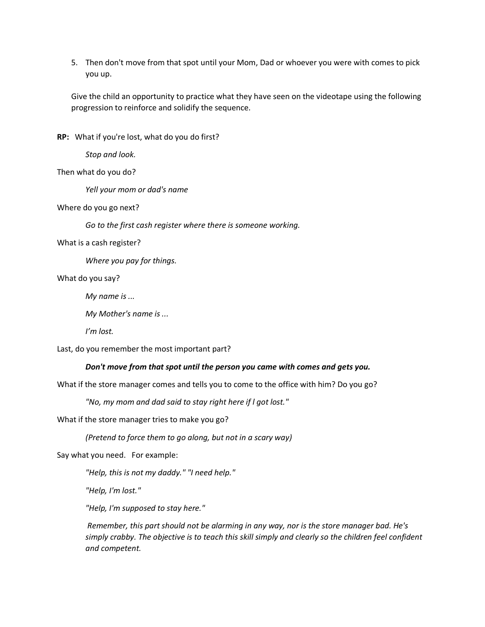5. Then don't move from that spot until your Mom, Dad or whoever you were with comes to pick you up.

Give the child an opportunity to practice what they have seen on the videotape using the following progression to reinforce and solidify the sequence.

**RP:** What if you're lost, what do you do first?

*Stop and look.*

Then what do you do?

*Yell your mom or dad's name*

Where do you go next?

*Go to the first cash register where there is someone working.*

What is a cash register?

*Where you pay for things.*

What do you say?

*My name is ...*

*My Mother's name is ...*

*I'm lost.*

Last, do you remember the most important part?

#### *Don't move from that spot until the person you came with comes and gets you.*

What if the store manager comes and tells you to come to the office with him? Do you go?

*"No, my mom and dad said to stay right here if l got lost."*

What if the store manager tries to make you go?

*(Pretend to force them to go along, but not in a scary way)*

Say what you need. For example:

*"Help, this is not my daddy." "I need help."*

*"Help, I'm lost."*

*"Help, I'm supposed to stay here."*

*Remember, this part should not be alarming in any way, nor is the store manager bad. He's simply crabby. The objective is to teach this skill simply and clearly so the children feel confident and competent.*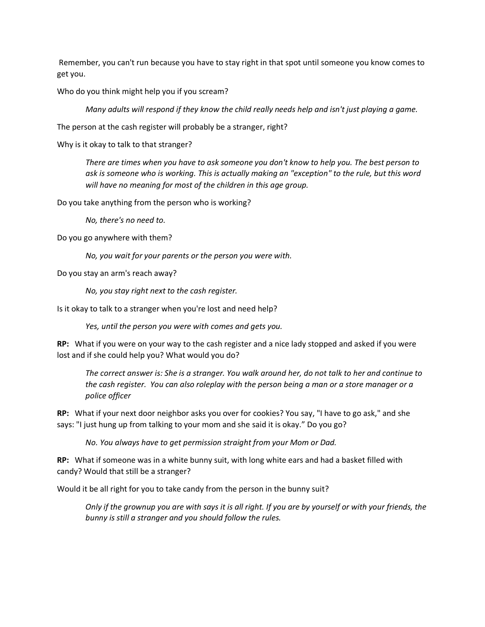Remember, you can't run because you have to stay right in that spot until someone you know comes to get you.

Who do you think might help you if you scream?

*Many adults will respond if they know the child really needs help and isn't just playing a game.*

The person at the cash register will probably be a stranger, right?

Why is it okay to talk to that stranger?

*There are times when you have to ask someone you don't know to help you. The best person to ask is someone who is working. This is actually making an "exception" to the rule, but this word will have no meaning for most of the children in this age group.*

Do you take anything from the person who is working?

*No, there's no need to.*

Do you go anywhere with them?

*No, you wait for your parents or the person you were with.*

Do you stay an arm's reach away?

*No, you stay right next to the cash register.*

Is it okay to talk to a stranger when you're lost and need help?

*Yes, until the person you were with comes and gets you.*

**RP:** What if you were on your way to the cash register and a nice lady stopped and asked if you were lost and if she could help you? What would you do?

*The correct answer is: She is a stranger. You walk around her, do not talk to her and continue to the cash register. You can also roleplay with the person being a man or a store manager or a police officer* 

**RP:** What if your next door neighbor asks you over for cookies? You say, "I have to go ask," and she says: "I just hung up from talking to your mom and she said it is okay." Do you go?

*No. You always have to get permission straight from your Mom or Dad.*

**RP:** What if someone was in a white bunny suit, with long white ears and had a basket filled with candy? Would that still be a stranger?

Would it be all right for you to take candy from the person in the bunny suit?

*Only if the grownup you are with says it is all right. If you are by yourself or with your friends, the bunny is still a stranger and you should follow the rules.*